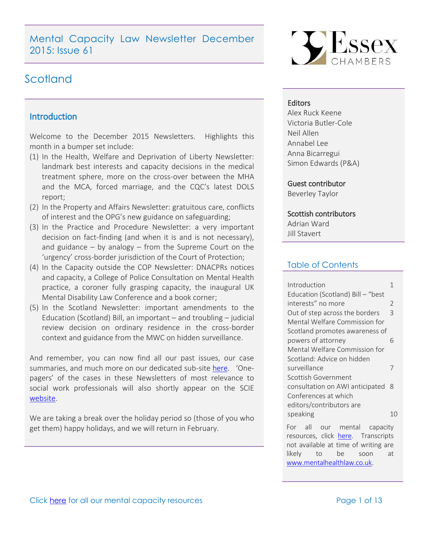Mental Capacity Law Newsletter December 2015: Issue 61

# Scotland

## <span id="page-0-0"></span>**Introduction**

Welcome to the December 2015 Newsletters. Highlights this month in a bumper set include:

- (1) In the Health, Welfare and Deprivation of Liberty Newsletter: landmark best interests and capacity decisions in the medical treatment sphere, more on the cross-over between the MHA and the MCA, forced marriage, and the CQC's latest DOLS report;
- (2) In the Property and Affairs Newsletter: gratuitous care, conflicts of interest and the OPG's new guidance on safeguarding;
- (3) In the Practice and Procedure Newsletter: a very important decision on fact-finding (and when it is and is not necessary), and guidance  $-$  by analogy  $-$  from the Supreme Court on the 'urgency' cross-border jurisdiction of the Court of Protection;
- (4) In the Capacity outside the COP Newsletter: DNACPRs notices and capacity, a College of Police Consultation on Mental Health practice, a coroner fully grasping capacity, the inaugural UK Mental Disability Law Conference and a book corner;
- (5) In the Scotland Newsletter: important amendments to the Education (Scotland) Bill, an important – and troubling – judicial review decision on ordinary residence in the cross-border context and guidance from the MWC on hidden surveillance.

And remember, you can now find all our past issues, our case summaries, and much more on our dedicated sub-site [here](http://www.39essex.com/resources-and-training/mental-capacity-law/). 'Onepagers' of the cases in these Newsletters of most relevance to social work professionals will also shortly appear on the SCIE [website.](http://www.scie.org.uk/mca-directory/)

We are taking a break over the holiday period so (those of you who get them) happy holidays, and we will return in February.



#### **Editors**

Alex Ruck Keene Victoria Butler-Cole Neil Allen Annabel Lee Anna Bicarregui Simon Edwards (P&A)

Guest contributor

Beverley Taylor

#### Scottish contributors

Adrian Ward Jill Stavert

## Table of Contents

| Introduction                      |               |
|-----------------------------------|---------------|
| Education (Scotland) Bill - "best |               |
| interests" no more                | $\mathcal{P}$ |
| Out of step across the borders    | 3             |
| Mental Welfare Commission for     |               |
| Scotland promotes awareness of    |               |
| powers of attorney                | 6             |
| Mental Welfare Commission for     |               |
| Scotland: Advice on hidden        |               |
| surveillance                      | 7             |
| Scottish Government               |               |
| consultation on AWI anticipated   | -8            |
| Conferences at which              |               |
| editors/contributors are          |               |
| speaking                          |               |
|                                   |               |

For all our mental capacity resources, click [here.](http://www.39essex.com/resources-and-training/mental-capacity-law/) Transcripts not available at time of writing are likely to be soon at [www.mentalhealthlaw.co.uk.](http://www.mentalhealthlaw.co.uk/)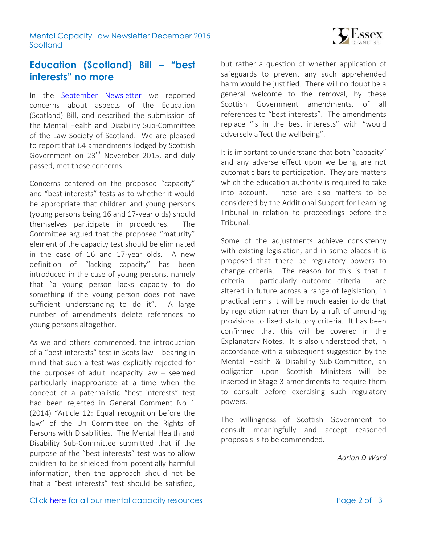

# <span id="page-1-0"></span>**Education (Scotland) Bill – "best interests" no more**

In the [September Newsletter](http://www.39essex.com/content/wp-content/uploads/2015/09/MC-Newsletter-September-2015-Scotland.pdf) we reported concerns about aspects of the Education (Scotland) Bill, and described the submission of the Mental Health and Disability Sub-Committee of the Law Society of Scotland. We are pleased to report that 64 amendments lodged by Scottish Government on 23<sup>rd</sup> November 2015, and duly passed, met those concerns.

Concerns centered on the proposed "capacity" and "best interests" tests as to whether it would be appropriate that children and young persons (young persons being 16 and 17-year olds) should themselves participate in procedures. The Committee argued that the proposed "maturity" element of the capacity test should be eliminated in the case of 16 and 17-year olds. A new definition of "lacking capacity" has been introduced in the case of young persons, namely that "a young person lacks capacity to do something if the young person does not have sufficient understanding to do it". A large number of amendments delete references to young persons altogether.

As we and others commented, the introduction of a "best interests" test in Scots law – bearing in mind that such a test was explicitly rejected for the purposes of adult incapacity law – seemed particularly inappropriate at a time when the concept of a paternalistic "best interests" test had been rejected in General Comment No 1 (2014) "Article 12: Equal recognition before the law" of the Un Committee on the Rights of Persons with Disabilities. The Mental Health and Disability Sub-Committee submitted that if the purpose of the "best interests" test was to allow children to be shielded from potentially harmful information, then the approach should not be that a "best interests" test should be satisfied,

but rather a question of whether application of safeguards to prevent any such apprehended harm would be justified. There will no doubt be a general welcome to the removal, by these Scottish Government amendments, of all references to "best interests". The amendments replace "is in the best interests" with "would adversely affect the wellbeing".

It is important to understand that both "capacity" and any adverse effect upon wellbeing are not automatic bars to participation. They are matters which the education authority is required to take into account. These are also matters to be considered by the Additional Support for Learning Tribunal in relation to proceedings before the Tribunal.

Some of the adjustments achieve consistency with existing legislation, and in some places it is proposed that there be regulatory powers to change criteria. The reason for this is that if criteria – particularly outcome criteria – are altered in future across a range of legislation, in practical terms it will be much easier to do that by regulation rather than by a raft of amending provisions to fixed statutory criteria. It has been confirmed that this will be covered in the Explanatory Notes. It is also understood that, in accordance with a subsequent suggestion by the Mental Health & Disability Sub-Committee, an obligation upon Scottish Ministers will be inserted in Stage 3 amendments to require them to consult before exercising such regulatory powers.

The willingness of Scottish Government to consult meaningfully and accept reasoned proposals is to be commended.

*Adrian D Ward*

Click [here](http://www.39essex.com/resources-and-training/mental-capacity-law/) for all our mental capacity resources Page 2 of 13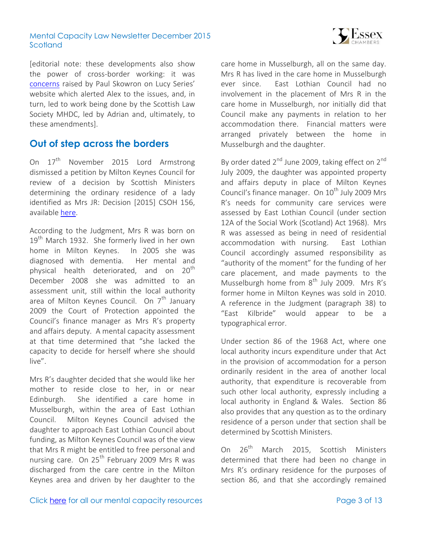

[editorial note: these developments also show the power of cross-border working: it was [concerns](https://thesmallplaces.wordpress.com/2015/07/10/best-interests-uber-alles-legal-capacity-in-the-education-scotland-bill/) raised by Paul Skowron on Lucy Series' website which alerted Alex to the issues, and, in turn, led to work being done by the Scottish Law Society MHDC, led by Adrian and, ultimately, to these amendments].

# <span id="page-2-0"></span>**Out of step across the borders**

On  $17<sup>th</sup>$  November 2015 Lord Armstrong dismissed a petition by Milton Keynes Council for review of a decision by Scottish Ministers determining the ordinary residence of a lady identified as Mrs JR: Decision [2015] CSOH 156, available [here.](http://www.scotcourts.gov.uk/search-judgments/judgment?id=9e48f7a6-8980-69d2-b500-ff0000d74aa7)

According to the Judgment, Mrs R was born on 19<sup>th</sup> March 1932. She formerly lived in her own home in Milton Keynes. In 2005 she was diagnosed with dementia. Her mental and physical health deteriorated, and on 20<sup>th</sup> December 2008 she was admitted to an assessment unit, still within the local authority area of Milton Keynes Council. On  $7<sup>th</sup>$  January 2009 the Court of Protection appointed the Council's finance manager as Mrs R's property and affairs deputy. A mental capacity assessment at that time determined that "she lacked the capacity to decide for herself where she should live".

Mrs R's daughter decided that she would like her mother to reside close to her, in or near Edinburgh. She identified a care home in Musselburgh, within the area of East Lothian Council. Milton Keynes Council advised the daughter to approach East Lothian Council about funding, as Milton Keynes Council was of the view that Mrs R might be entitled to free personal and nursing care. On 25<sup>th</sup> February 2009 Mrs R was discharged from the care centre in the Milton Keynes area and driven by her daughter to the care home in Musselburgh, all on the same day. Mrs R has lived in the care home in Musselburgh ever since. East Lothian Council had no involvement in the placement of Mrs R in the care home in Musselburgh, nor initially did that Council make any payments in relation to her accommodation there. Financial matters were arranged privately between the home in Musselburgh and the daughter.

By order dated 2<sup>nd</sup> June 2009, taking effect on 2<sup>nd</sup> July 2009, the daughter was appointed property and affairs deputy in place of Milton Keynes Council's finance manager. On  $10^{th}$  July 2009 Mrs R's needs for community care services were assessed by East Lothian Council (under section 12A of the Social Work (Scotland) Act 1968). Mrs R was assessed as being in need of residential accommodation with nursing. East Lothian Council accordingly assumed responsibility as "authority of the moment" for the funding of her care placement, and made payments to the Musselburgh home from  $8^{th}$  July 2009. Mrs R's former home in Milton Keynes was sold in 2010. A reference in the Judgment (paragraph 38) to "East Kilbride" would appear to be a typographical error.

Under section 86 of the 1968 Act, where one local authority incurs expenditure under that Act in the provision of accommodation for a person ordinarily resident in the area of another local authority, that expenditure is recoverable from such other local authority, expressly including a local authority in England & Wales. Section 86 also provides that any question as to the ordinary residence of a person under that section shall be determined by Scottish Ministers.

On  $26^{th}$ March 2015, Scottish Ministers determined that there had been no change in Mrs R's ordinary residence for the purposes of section 86, and that she accordingly remained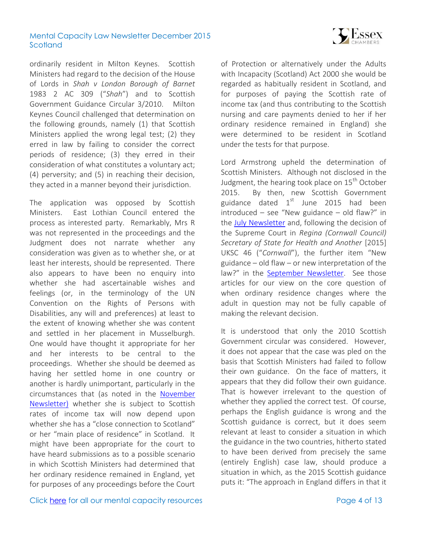

ordinarily resident in Milton Keynes. Scottish Ministers had regard to the decision of the House of Lords in *Shah v London Borough of Barnet*  1983 2 AC 309 ("*Shah*") and to Scottish Government Guidance Circular 3/2010. Milton Keynes Council challenged that determination on the following grounds, namely (1) that Scottish Ministers applied the wrong legal test; (2) they erred in law by failing to consider the correct periods of residence; (3) they erred in their consideration of what constitutes a voluntary act; (4) perversity; and (5) in reaching their decision, they acted in a manner beyond their jurisdiction.

The application was opposed by Scottish Ministers. East Lothian Council entered the process as interested party. Remarkably, Mrs R was not represented in the proceedings and the Judgment does not narrate whether any consideration was given as to whether she, or at least her interests, should be represented. There also appears to have been no enquiry into whether she had ascertainable wishes and feelings (or, in the terminology of the UN Convention on the Rights of Persons with Disabilities, any will and preferences) at least to the extent of knowing whether she was content and settled in her placement in Musselburgh. One would have thought it appropriate for her and her interests to be central to the proceedings. Whether she should be deemed as having her settled home in one country or another is hardly unimportant, particularly in the circumstances that (as noted in the [November](http://www.39essex.com/content/wp-content/uploads/2015/11/MC-Newsletter-November-2015-Scotland.pdf)  [Newsletter\)](http://www.39essex.com/content/wp-content/uploads/2015/11/MC-Newsletter-November-2015-Scotland.pdf) whether she is subject to Scottish rates of income tax will now depend upon whether she has a "close connection to Scotland" or her "main place of residence" in Scotland. It might have been appropriate for the court to have heard submissions as to a possible scenario in which Scottish Ministers had determined that her ordinary residence remained in England, yet for purposes of any proceedings before the Court of Protection or alternatively under the Adults with Incapacity (Scotland) Act 2000 she would be regarded as habitually resident in Scotland, and for purposes of paying the Scottish rate of income tax (and thus contributing to the Scottish nursing and care payments denied to her if her ordinary residence remained in England) she were determined to be resident in Scotland under the tests for that purpose.

Lord Armstrong upheld the determination of Scottish Ministers. Although not disclosed in the Judgment, the hearing took place on  $15<sup>th</sup>$  October 2015. By then, new Scottish Government guidance dated  $1<sup>st</sup>$  June 2015 had been introduced – see "New guidance – old flaw?" in the [July Newsletter](http://www.39essex.com/content/wp-content/uploads/2015/07/MC-Newsletter-July-2015-Scotland.pdf) and, following the decision of the Supreme Court in *Regina (Cornwall Council) Secretary of State for Health and Another* [2015] UKSC 46 ("*Cornwall*"), the further item "New guidance – old flaw – or new interpretation of the law?" in the [September Newsletter.](http://www.39essex.com/content/wp-content/uploads/2015/09/MC-Newsletter-September-2015-Scotland.pdf) See those articles for our view on the core question of when ordinary residence changes where the adult in question may not be fully capable of making the relevant decision.

It is understood that only the 2010 Scottish Government circular was considered. However, it does not appear that the case was pled on the basis that Scottish Ministers had failed to follow their own guidance. On the face of matters, it appears that they did follow their own guidance. That is however irrelevant to the question of whether they applied the correct test. Of course, perhaps the English guidance is wrong and the Scottish guidance is correct, but it does seem relevant at least to consider a situation in which the guidance in the two countries, hitherto stated to have been derived from precisely the same (entirely English) case law, should produce a situation in which, as the 2015 Scottish guidance puts it: "The approach in England differs in that it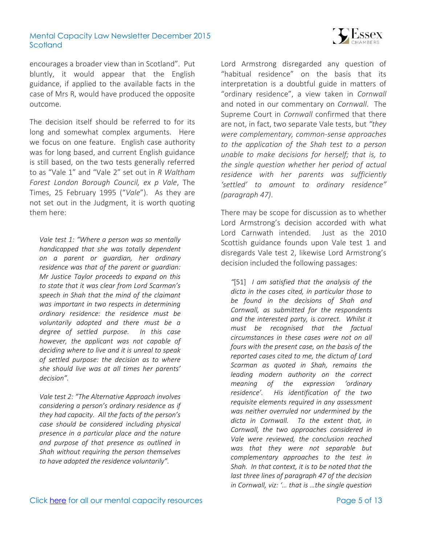

encourages a broader view than in Scotland". Put bluntly, it would appear that the English guidance, if applied to the available facts in the case of Mrs R, would have produced the opposite outcome.

The decision itself should be referred to for its long and somewhat complex arguments. Here we focus on one feature. English case authority was for long based, and current English guidance is still based, on the two tests generally referred to as "Vale 1" and "Vale 2" set out in *R Waltham Forest London Borough Council, ex p Vale*, The Times, 25 February 1995 ("*Vale*"). As they are not set out in the Judgment, it is worth quoting them here:

*Vale test 1: "Where a person was so mentally handicapped that she was totally dependent on a parent or guardian, her ordinary residence was that of the parent or guardian: Mr Justice Taylor proceeds to expand on this to state that it was clear from Lord Scarman's speech in Shah that the mind of the claimant was important in two respects in determining ordinary residence: the residence must be voluntarily adopted and there must be a degree of settled purpose. In this case however, the applicant was not capable of deciding where to live and it is unreal to speak of settled purpose: the decision as to where she should live was at all times her parents' decision".* 

*Vale test 2: "The Alternative Approach involves considering a person's ordinary residence as if they had capacity. All the facts of the person's case should be considered including physical presence in a particular place and the nature and purpose of that presence as outlined in Shah without requiring the person themselves to have adopted the residence voluntarily".*

Lord Armstrong disregarded any question of "habitual residence" on the basis that its interpretation is a doubtful guide in matters of "ordinary residence", a view taken in *Cornwall* and noted in our commentary on *Cornwall*. The Supreme Court in *Cornwall* confirmed that there are not, in fact, two separate Vale tests, but *"they were complementary, common-sense approaches to the application of the Shah test to a person unable to make decisions for herself; that is, to the single question whether her period of actual residence with her parents was sufficiently 'settled' to amount to ordinary residence" (paragraph 47)*.

There may be scope for discussion as to whether Lord Armstrong's decision accorded with what Lord Carnwath intended. Just as the 2010 Scottish guidance founds upon Vale test 1 and disregards Vale test 2, likewise Lord Armstrong's decision included the following passages:

*"*[51] *I am satisfied that the analysis of the dicta in the cases cited, in particular those to be found in the decisions of Shah and Cornwall, as submitted for the respondents and the interested party, is correct. Whilst it must be recognised that the factual circumstances in these cases were not on all fours with the present case, on the basis of the reported cases cited to me, the dictum of Lord Scarman as quoted in Shah, remains the leading modern authority on the correct meaning of the expression 'ordinary residence'. His identification of the two requisite elements required in any assessment was neither overruled nor undermined by the dicta in Cornwall. To the extent that, in Cornwall, the two approaches considered in Vale were reviewed, the conclusion reached was that they were not separable but complementary approaches to the test in Shah. In that context, it is to be noted that the last three lines of paragraph 47 of the decision in Cornwall, viz: '… that is …the single question*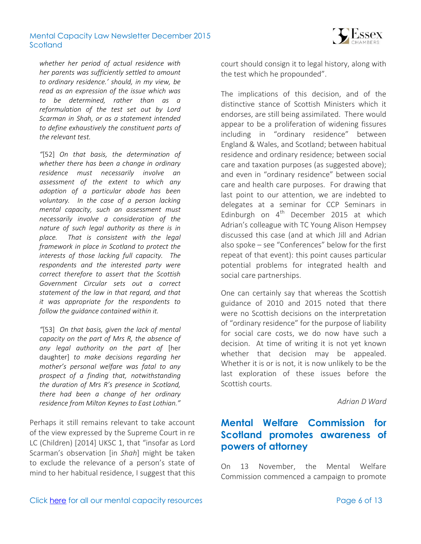

*whether her period of actual residence with her parents was sufficiently settled to amount to ordinary residence.' should, in my view, be read as an expression of the issue which was to be determined, rather than as a reformulation of the test set out by Lord Scarman in Shah, or as a statement intended to define exhaustively the constituent parts of the relevant test.*

*"*[52] *On that basis, the determination of whether there has been a change in ordinary residence must necessarily involve an assessment of the extent to which any adoption of a particular abode has been voluntary. In the case of a person lacking mental capacity, such an assessment must necessarily involve a consideration of the nature of such legal authority as there is in place. That is consistent with the legal framework in place in Scotland to protect the interests of those lacking full capacity. The respondents and the interested party were correct therefore to assert that the Scottish Government Circular sets out a correct statement of the law in that regard, and that it was appropriate for the respondents to follow the guidance contained within it.*

*"*[53] *On that basis, given the lack of mental capacity on the part of Mrs R, the absence of any legal authority on the part of* [her daughter] *to make decisions regarding her mother's personal welfare was fatal to any prospect of a finding that, notwithstanding the duration of Mrs R's presence in Scotland, there had been a change of her ordinary residence from Milton Keynes to East Lothian."*

Perhaps it still remains relevant to take account of the view expressed by the Supreme Court in re LC (Children) [2014] UKSC 1, that "insofar as Lord Scarman's observation [in *Shah*] might be taken to exclude the relevance of a person's state of mind to her habitual residence, I suggest that this court should consign it to legal history, along with the test which he propounded".

The implications of this decision, and of the distinctive stance of Scottish Ministers which it endorses, are still being assimilated. There would appear to be a proliferation of widening fissures including in "ordinary residence" between England & Wales, and Scotland; between habitual residence and ordinary residence; between social care and taxation purposes (as suggested above); and even in "ordinary residence" between social care and health care purposes. For drawing that last point to our attention, we are indebted to delegates at a seminar for CCP Seminars in Edinburgh on  $4<sup>th</sup>$  December 2015 at which Adrian's colleague with TC Young Alison Hempsey discussed this case (and at which Jill and Adrian also spoke – see "Conferences" below for the first repeat of that event): this point causes particular potential problems for integrated health and social care partnerships.

One can certainly say that whereas the Scottish guidance of 2010 and 2015 noted that there were no Scottish decisions on the interpretation of "ordinary residence" for the purpose of liability for social care costs, we do now have such a decision. At time of writing it is not yet known whether that decision may be appealed. Whether it is or is not, it is now unlikely to be the last exploration of these issues before the Scottish courts.

*Adrian D Ward*

# <span id="page-5-0"></span>**Mental Welfare Commission for Scotland promotes awareness of powers of attorney**

On 13 November, the Mental Welfare Commission commenced a campaign to promote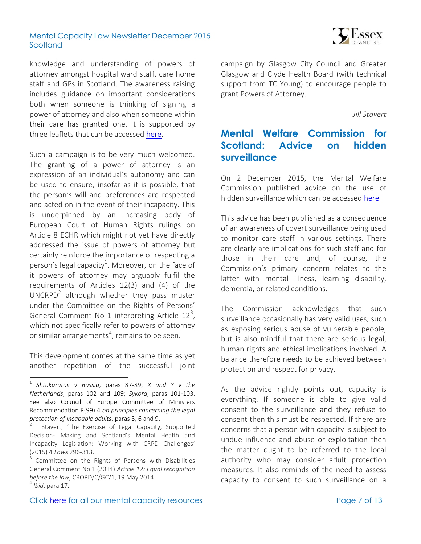

knowledge and understanding of powers of attorney amongst hospital ward staff, care home staff and GPs in Scotland. The awareness raising includes guidance on important considerations both when someone is thinking of signing a power of attorney and also when someone within their care has granted one. It is supported by three leaflets that can be accessed [here](http://www.mwcscot.org.uk/about-us/latest-news/commission-launches-new-campaign-across-scotland).

Such a campaign is to be very much welcomed. The granting of a power of attorney is an expression of an individual's autonomy and can be used to ensure, insofar as it is possible, that the person's will and preferences are respected and acted on in the event of their incapacity. This is underpinned by an increasing body of European Court of Human Rights rulings on Article 8 ECHR which might not yet have directly addressed the issue of powers of attorney but certainly reinforce the importance of respecting a person's legal capacity<sup>1</sup>. Moreover, on the face of it powers of attorney may arguably fulfil the requirements of Articles 12(3) and (4) of the UNCRPD $^2$  although whether they pass muster under the Committee on the Rights of Persons' General Comment No 1 interpreting Article  $12^3$ , which not specifically refer to powers of attorney or similar arrangements<sup>4</sup>, remains to be seen.

This development comes at the same time as yet another repetition of the successful joint

 $\overline{a}$ 

campaign by Glasgow City Council and Greater Glasgow and Clyde Health Board (with technical support from TC Young) to encourage people to grant Powers of Attorney.

*Jill Stavert* 

# <span id="page-6-0"></span>**Mental Welfare Commission for Scotland: Advice on hidden surveillance**

On 2 December 2015, the Mental Welfare Commission published advice on the use of hidden surveillance which can be accessed [here](http://www.mwcscot.org.uk/good-practice/commission-advice/hidden-surveillance/)

This advice has been publlished as a consequence of an awareness of covert surveillance being used to monitor care staff in various settings. There are clearly are implications for such staff and for those in their care and, of course, the Commission's primary concern relates to the latter with mental illness, learning disability, dementia, or related conditions.

The Commission acknowledges that such surveillance occasionally has very valid uses, such as exposing serious abuse of vulnerable people, but is also mindful that there are serious legal, human rights and ethical implications involved. A balance therefore needs to be achieved between protection and respect for privacy.

As the advice rightly points out, capacity is everything. If someone is able to give valid consent to the surveillance and they refuse to consent then this must be respected. If there are concerns that a person with capacity is subject to undue influence and abuse or exploitation then the matter ought to be referred to the local authority who may consider adult protection measures. It also reminds of the need to assess capacity to consent to such surveillance on a

<sup>1</sup> *Shtukarutov v Russia*, paras 87-89; *X and Y v the Netherlands*, paras 102 and 109; *Sykora*, paras 101-103. See also Council of Europe Committee of Ministers Recommendation R(99) 4 *on principles concerning the legal protection of incapable adults*, paras 3, 6 and 9.

 $2J$  Stavert, 'The Exercise of Legal Capacity, Supported Decision- Making and Scotland's Mental Health and Incapacity Legislation: Working with CRPD Challenges' (2015) 4 *Laws* 296-313.

<sup>&</sup>lt;sup>3</sup> Committee on the Rights of Persons with Disabilities General Comment No 1 (2014) *Article 12: Equal recognition before the law*, CROPD/C/GC/1, 19 May 2014. 4 *Ibid*, para 17.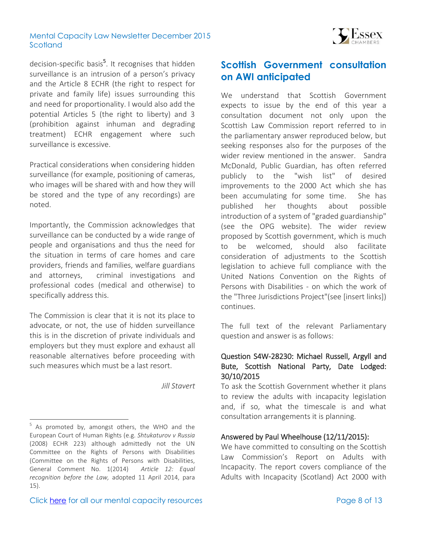

decision-specific basis<sup>5</sup>. It recognises that hidden surveillance is an intrusion of a person's privacy and the Article 8 ECHR (the right to respect for private and family life) issues surrounding this and need for proportionality. I would also add the potential Articles 5 (the right to liberty) and 3 (prohibition against inhuman and degrading treatment) ECHR engagement where such surveillance is excessive.

Practical considerations when considering hidden surveillance (for example, positioning of cameras, who images will be shared with and how they will be stored and the type of any recordings) are noted.

Importantly, the Commission acknowledges that surveillance can be conducted by a wide range of people and organisations and thus the need for the situation in terms of care homes and care providers, friends and families, welfare guardians and attorneys, criminal investigations and professional codes (medical and otherwise) to specifically address this.

The Commission is clear that it is not its place to advocate, or not, the use of hidden surveillance this is in the discretion of private individuals and employers but they must explore and exhaust all reasonable alternatives before proceeding with such measures which must be a last resort.

*Jill Stavert* 

 $\overline{a}$ 

# <span id="page-7-0"></span>**Scottish Government consultation on AWI anticipated**

We understand that Scottish Government expects to issue by the end of this year a consultation document not only upon the Scottish Law Commission report referred to in the parliamentary answer reproduced below, but seeking responses also for the purposes of the wider review mentioned in the answer. Sandra McDonald, Public Guardian, has often referred publicly to the "wish list" of desired improvements to the 2000 Act which she has been accumulating for some time. She has published her thoughts about possible introduction of a system of "graded guardianship" (see the OPG website). The wider review proposed by Scottish government, which is much to be welcomed, should also facilitate consideration of adjustments to the Scottish legislation to achieve full compliance with the United Nations Convention on the Rights of Persons with Disabilities - on which the work of the "Three Jurisdictions Project"(see [insert links]) continues.

The full text of the relevant Parliamentary question and answer is as follows:

## Question S4W-28230: Michael Russell, Argyll and Bute, Scottish National Party, Date Lodged: 30/10/2015

To ask the Scottish Government whether it plans to review the adults with incapacity legislation and, if so, what the timescale is and what consultation arrangements it is planning.

#### Answered by Paul Wheelhouse (12/11/2015):

We have committed to consulting on the Scottish Law Commission's Report on Adults with Incapacity. The report covers compliance of the Adults with Incapacity (Scotland) Act 2000 with

<sup>&</sup>lt;sup>5</sup> As promoted by, amongst others, the WHO and the European Court of Human Rights (e.g. *Shtukaturov v Russia* (2008) ECHR 223) although admittedly not the UN Committee on the Rights of Persons with Disabilities (Committee on the Rights of Persons with Disabilities, General Comment No. 1(2014) *Article 12: Equal recognition before the Law,* adopted 11 April 2014, para 15).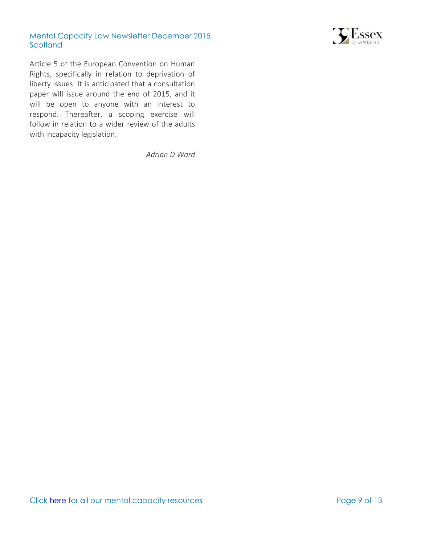

Article 5 of the European Convention on Human Rights, specifically in relation to deprivation of liberty issues. It is anticipated that a consultation paper will issue around the end of 2015, and it will be open to anyone with an interest to respond. Thereafter, a scoping exercise will follow in relation to a wider review of the adults with incapacity legislation.

*Adrian D Ward*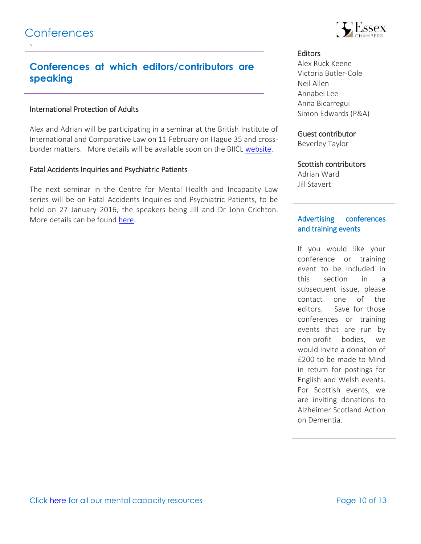<span id="page-9-0"></span>`

# **Conferences at which editors/contributors are speaking**

### International Protection of Adults

Alex and Adrian will be participating in a seminar at the British Institute of International and Comparative Law on 11 February on Hague 35 and crossborder matters. More details will be available soon on the BIICL [website.](http://www.biicl.org/)

### Fatal Accidents Inquiries and Psychiatric Patients

The next seminar in the Centre for Mental Health and Incapacity Law series will be on Fatal Accidents Inquiries and Psychiatric Patients, to be held on 27 January 2016, the speakers being Jill and Dr John Crichton. More details can be found [here.](http://staff.napier.ac.uk/faculties/business-school/news/Pages/Centre-for-Mental-Health-and-Incapacity-Law.aspx)



#### **Editors**

Alex Ruck Keene Victoria Butler-Cole Neil Allen Annabel Lee Anna Bicarregui Simon Edwards (P&A)

#### Guest contributor

Beverley Taylor

#### Scottish contributors

Adrian Ward Jill Stavert

### Advertising conferences and training events

If you would like your conference or training event to be included in this section in a subsequent issue, please contact one of the editors. Save for those conferences or training events that are run by non-profit bodies, we would invite a donation of £200 to be made to Mind in return for postings for English and Welsh events. For Scottish events, we are inviting donations to Alzheimer Scotland Action on Dementia.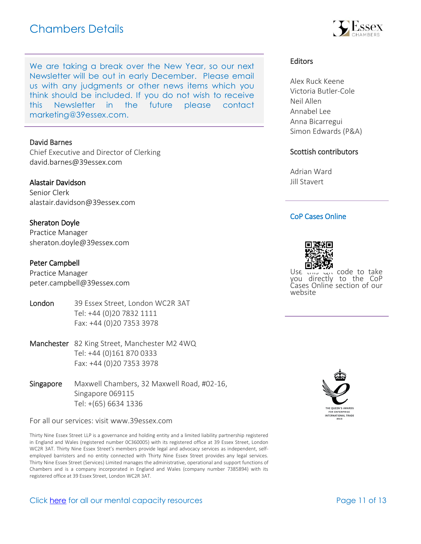

We are taking a break over the New Year, so our next Newsletter will be out in early December. Please email us with any judgments or other news items which you think should be included. If you do not wish to receive this Newsletter in the future please con[tact](mailto:marketing@39essex.com)  [marketing@39essex.com.](mailto:marketing@39essex.com) 

#### David Barnes

Chief Executive and Director of Clerking [david.barnes@39essex.com](mailto:david.barnes@39essex.com)

#### Alastair Davidson

Senior Clerk [alastair.davidson@39essex.com](mailto:alastair.davidson@39essex.com)

#### Sheraton Doyle

Practice Manager [sheraton.doyle@39essex.com](mailto:sheraton.doyle@39essex.com)

#### Peter Campbell

Practice Manager [peter.campbell@39essex.com](mailto:peter.campbell@39essex.com)

- London 39 Essex Street, London WC2R 3AT Tel: +44 (0)20 7832 1111 Fax: +44 (0)20 7353 3978
- Manchester 82 King Street, Manchester M2 4WQ Tel: +44 (0)161 870 0333 Fax: +44 (0)20 7353 3978
- Singapore Maxwell Chambers, 32 Maxwell Road, #02-16, Singapore 069115 Tel: +(65) 6634 1336

For all our services: visit www.39essex.com

Thirty Nine Essex Street LLP is a governance and holding entity and a limited liability partnership registered in England and Wales (registered number 0C360005) with its registered office at 39 Essex Street, London WC2R 3AT. Thirty Nine Essex Street's members provide legal and advocacy services as independent, selfemployed barristers and no entity connected with Thirty Nine Essex Street provides any legal services. Thirty Nine Essex Street (Services) Limited manages the administrative, operational and support functions of Chambers and is a company incorporated in England and Wales (company number 7385894) with its registered office at 39 Essex Street, London WC2R 3AT.

#### Click [here](http://www.39essex.com/resources-and-training/mental-capacity-law/) for all our mental capacity resources The Page 11 of 13

### Editors

Alex Ruck Keene Victoria Butler-Cole Neil Allen Annabel Lee Anna Bicarregui Simon Edwards (P&A)

#### Scottish contributors

Adrian Ward Jill Stavert

#### CoP Cases Online



Use this Qr code to take you directly to the CoP Cases Online section of our website

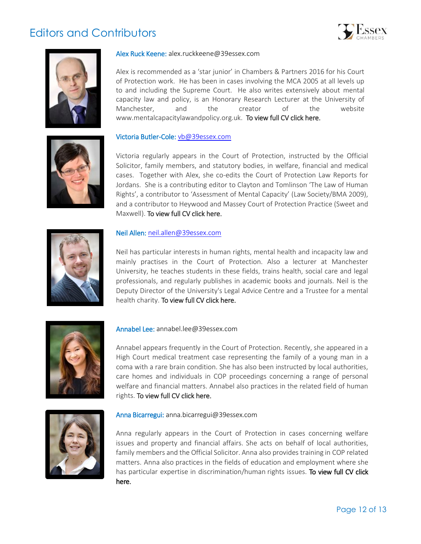# Editors and Contributors







#### Alex Ruck Keene: alex.ruckkeene@39essex.com

Alex is recommended as a 'star junior' in Chambers & Partners 2016 for his Court of Protection work. He has been in cases involving the MCA 2005 at all levels up to and including the Supreme Court. He also writes extensively about mental capacity law and policy, is an Honorary Research Lecturer at the University of Manchester, and the creator of the website www.mentalcapacitylawandpolicy.org.uk. [To view full CV click here.](http://www.39essex.com/members/profile.php?cat=2&id=73) 

#### Victoria Butler-Cole: [vb@39essex.com](mailto:vb@39essex.com)

Victoria regularly appears in the Court of Protection, instructed by the Official Solicitor, family members, and statutory bodies, in welfare, financial and medical cases. Together with Alex, she co-edits the Court of Protection Law Reports for Jordans. She is a contributing editor to Clayton and Tomlinson 'The Law of Human Rights', a contributor to 'Assessment of Mental Capacity' (Law Society/BMA 2009), and a contributor to Heywood and Massey Court of Protection Practice (Sweet and Maxwell). [To view full CV click here.](http://www.39essex.com/members/profile.php?cat=2&id=78) 



#### Neil Allen: [neil.allen@39essex.com](mailto:neil.allen@39essex.com)

Neil has particular interests in human rights, mental health and incapacity law and mainly practises in the Court of Protection. Also a lecturer at Manchester University, he teaches students in these fields, trains health, social care and legal professionals, and regularly publishes in academic books and journals. Neil is the Deputy Director of the University's Legal Advice Centre and a Trustee for a mental health charity. [To view full CV click here.](http://www.39essex.com/members/profile.php?cat=2&id=106) 



#### Annabel Lee: annabel.lee@39essex.com

Annabel appears frequently in the Court of Protection. Recently, she appeared in a High Court medical treatment case representing the family of a young man in a coma with a rare brain condition. She has also been instructed by local authorities, care homes and individuals in COP proceedings concerning a range of personal welfare and financial matters. Annabel also practices in the related field of human rights. To view full CV click here.



#### Anna Bicarregui: [anna.bicarregui@39essex.com](mailto:anna.bicarregui@39essex.com)

Anna regularly appears in the Court of Protection in cases concerning welfare issues and property and financial affairs. She acts on behalf of local authorities, family members and the Official Solicitor. Anna also provides training in COP related matters. Anna also practices in the fields of education and employment where she has particular expertise in discrimination/human rights issues. To view full CV click [here.](http://www.39essex.com/barrister/anna-bicarregui/)